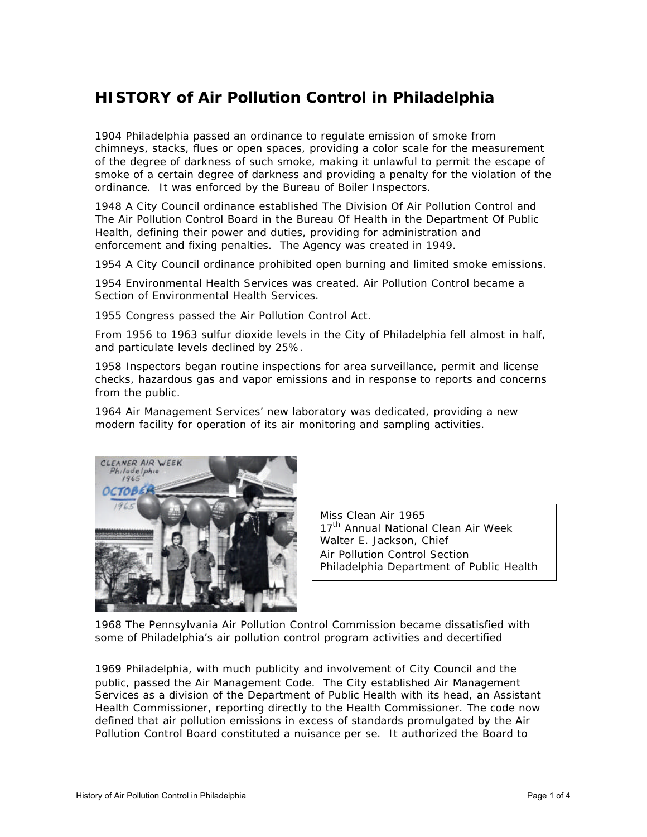# **HISTORY of Air Pollution Control in Philadelphia**

1904 Philadelphia passed an ordinance to regulate emission of smoke from chimneys, stacks, flues or open spaces, providing a color scale for the measurement of the degree of darkness of such smoke, making it unlawful to permit the escape of smoke of a certain degree of darkness and providing a penalty for the violation of the ordinance. It was enforced by the Bureau of Boiler Inspectors.

1948 A City Council ordinance established The Division Of Air Pollution Control and The Air Pollution Control Board in the Bureau Of Health in the Department Of Public Health, defining their power and duties, providing for administration and enforcement and fixing penalties. The Agency was created in 1949.

1954 A City Council ordinance prohibited open burning and limited smoke emissions.

1954 Environmental Health Services was created. Air Pollution Control became a Section of Environmental Health Services.

1955 Congress passed the Air Pollution Control Act.

From 1956 to 1963 sulfur dioxide levels in the City of Philadelphia fell almost in half, and particulate levels declined by 25%.

1958 Inspectors began routine inspections for area surveillance, permit and license checks, hazardous gas and vapor emissions and in response to reports and concerns from the public.

1964 Air Management Services' new laboratory was dedicated, providing a new modern facility for operation of its air monitoring and sampling activities.



Miss Clean Air 1965 17<sup>th</sup> Annual National Clean Air Week Walter E. Jackson, Chief Air Pollution Control Section Philadelphia Department of Public Health

1968 The Pennsylvania Air Pollution Control Commission became dissatisfied with some of Philadelphia's air pollution control program activities and decertified

1969 Philadelphia, with much publicity and involvement of City Council and the public, passed the Air Management Code. The City established Air Management Services as a division of the Department of Public Health with its head, an Assistant Health Commissioner, reporting directly to the Health Commissioner. The code now defined that air pollution emissions in excess of standards promulgated by the Air Pollution Control Board constituted a nuisance per se. It authorized the Board to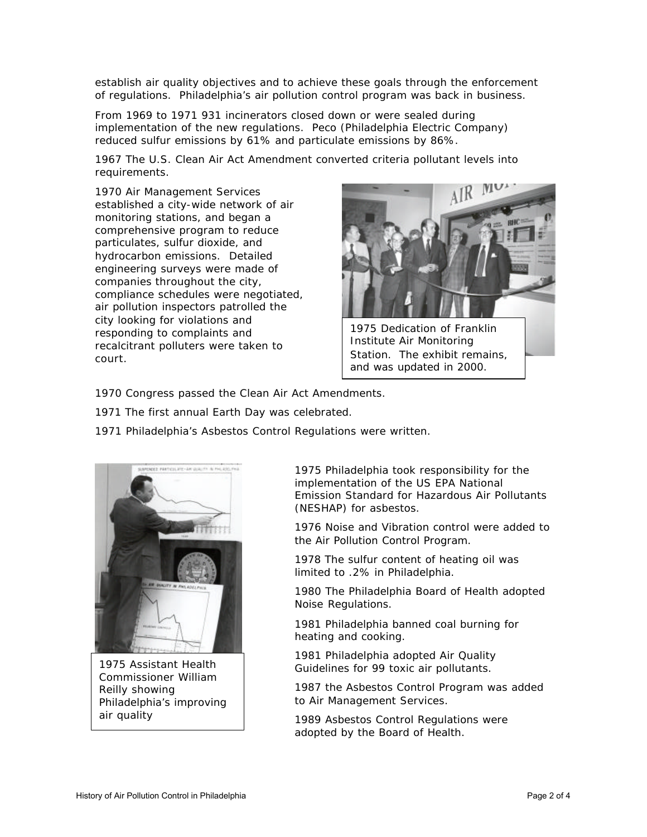establish air quality objectives and to achieve these goals through the enforcement of regulations. Philadelphia's air pollution control program was back in business.

From 1969 to 1971 931 incinerators closed down or were sealed during implementation of the new regulations. Peco (Philadelphia Electric Company) reduced sulfur emissions by 61% and particulate emissions by 86%.

1967 The U.S. Clean Air Act Amendment converted criteria pollutant levels into requirements.

1970 Air Management Services established a city-wide network of air monitoring stations, and began a comprehensive program to reduce particulates, sulfur dioxide, and hydrocarbon emissions. Detailed engineering surveys were made of companies throughout the city, compliance schedules were negotiated, air pollution inspectors patrolled the city looking for violations and responding to complaints and recalcitrant polluters were taken to court.



1975 Dedication of Franklin Institute Air Monitoring Station. The exhibit remains, and was updated in 2000.

- 1970 Congress passed the Clean Air Act Amendments.
- 1971 The first annual Earth Day was celebrated.
- 1971 Philadelphia's Asbestos Control Regulations were written.



1975 Assistant Health Commissioner William Reilly showing Philadelphia's improving air quality

1975 Philadelphia took responsibility for the implementation of the US EPA National Emission Standard for Hazardous Air Pollutants (NESHAP) for asbestos.

1976 Noise and Vibration control were added to the Air Pollution Control Program.

1978 The sulfur content of heating oil was limited to .2% in Philadelphia.

1980 The Philadelphia Board of Health adopted Noise Regulations.

1981 Philadelphia banned coal burning for heating and cooking.

1981 Philadelphia adopted Air Quality Guidelines for 99 toxic air pollutants.

1987 the Asbestos Control Program was added to Air Management Services.

1989 Asbestos Control Regulations were adopted by the Board of Health.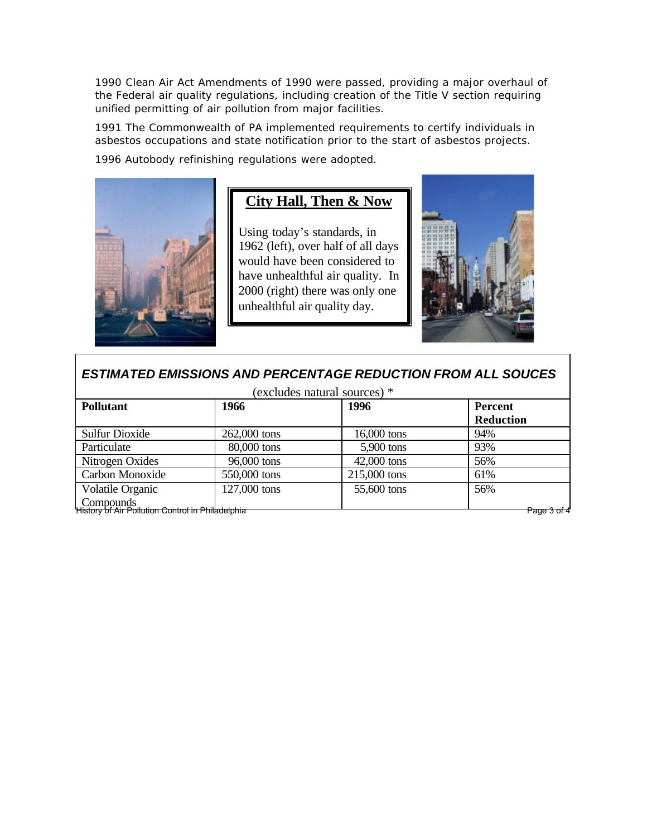1990 Clean Air Act Amendments of 1990 were passed, providing a major overhaul of the Federal air quality regulations, including creation of the Title V section requiring unified permitting of air pollution from major facilities.

1991 The Commonwealth of PA implemented requirements to certify individuals in asbestos occupations and state notification prior to the start of asbestos projects.

1996 Autobody refinishing regulations were adopted.



## **City Hall, Then & Now**

Using today's standards, in 1962 (left), over half of all days would have been considered to have unhealthful air quality. In 2000 (right) there was only one unhealthful air quality day.



### *ESTIMATED EMISSIONS AND PERCENTAGE REDUCTION FROM ALL SOUCES*

| (excludes natural sources) *                                    |              |               |                  |
|-----------------------------------------------------------------|--------------|---------------|------------------|
| <b>Pollutant</b>                                                | 1966         | 1996          | Percent          |
|                                                                 |              |               | <b>Reduction</b> |
| <b>Sulfur Dioxide</b>                                           | 262,000 tons | $16,000$ tons | 94%              |
| Particulate                                                     | 80,000 tons  | 5,900 tons    | 93%              |
| Nitrogen Oxides                                                 | 96,000 tons  | 42,000 tons   | 56%              |
| Carbon Monoxide                                                 | 550,000 tons | 215,000 tons  | 61%              |
| Volatile Organic                                                | 127,000 tons | 55,600 tons   | 56%              |
| Compounds<br>  History of Air Pollution Control in Philadelphia |              |               |                  |
|                                                                 |              |               | Page 3 of 4      |